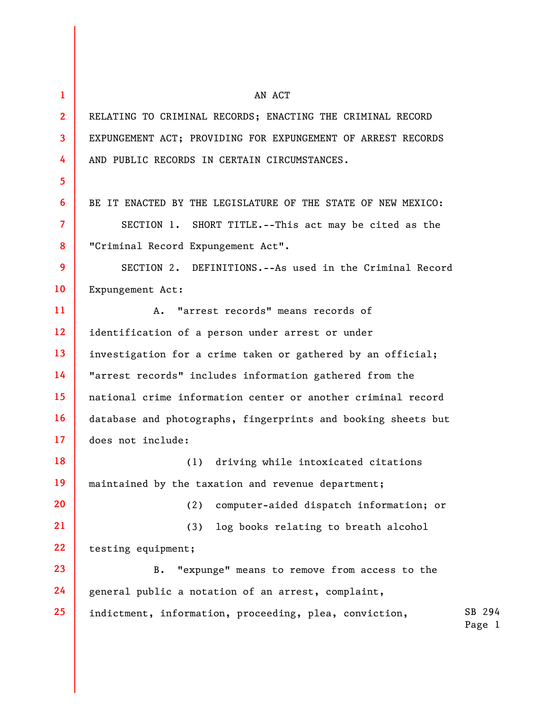| $\mathbf{1}$   | AN ACT                                                        |                  |
|----------------|---------------------------------------------------------------|------------------|
| $\overline{2}$ | RELATING TO CRIMINAL RECORDS; ENACTING THE CRIMINAL RECORD    |                  |
| $\mathbf{3}$   | EXPUNGEMENT ACT; PROVIDING FOR EXPUNGEMENT OF ARREST RECORDS  |                  |
| 4              | AND PUBLIC RECORDS IN CERTAIN CIRCUMSTANCES.                  |                  |
| 5              |                                                               |                  |
| 6              | BE IT ENACTED BY THE LEGISLATURE OF THE STATE OF NEW MEXICO:  |                  |
| $\overline{7}$ | SECTION 1. SHORT TITLE.--This act may be cited as the         |                  |
| 8              | "Criminal Record Expungement Act".                            |                  |
| 9              | SECTION 2. DEFINITIONS.--As used in the Criminal Record       |                  |
| 10             | Expungement Act:                                              |                  |
| 11             | "arrest records" means records of<br>A.                       |                  |
| 12             | identification of a person under arrest or under              |                  |
| 13             | investigation for a crime taken or gathered by an official;   |                  |
| 14             | "arrest records" includes information gathered from the       |                  |
| 15             | national crime information center or another criminal record  |                  |
| 16             | database and photographs, fingerprints and booking sheets but |                  |
| 17             | does not include:                                             |                  |
| 18             | (1) driving while intoxicated citations                       |                  |
| 19             | maintained by the taxation and revenue department;            |                  |
| 20             | computer-aided dispatch information; or<br>(2)                |                  |
| 21             | log books relating to breath alcohol<br>(3)                   |                  |
| 22             | testing equipment;                                            |                  |
| 23             | "expunge" means to remove from access to the<br>$B$ .         |                  |
| 24             | general public a notation of an arrest, complaint,            |                  |
| 25             | indictment, information, proceeding, plea, conviction,        | SB 294<br>Page 1 |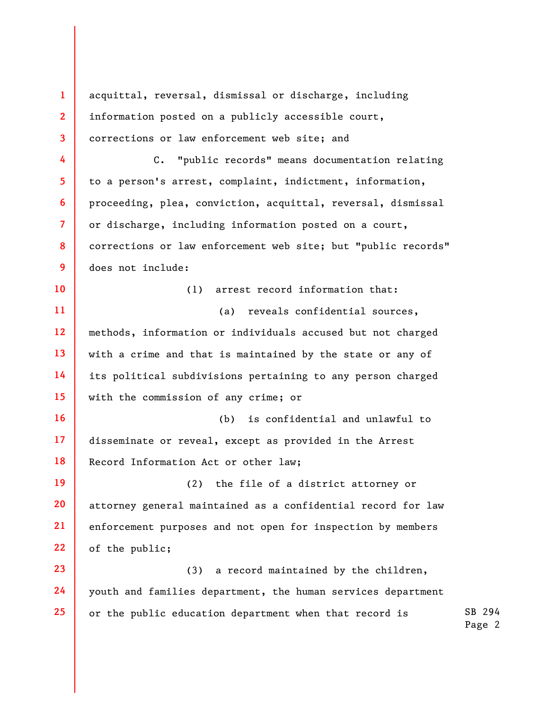SB 294 Page 2 **1 2 3 4 5 6 7 8 9 10 11 12 13 14 15 16 17 18 19 20 21 22 23 24 25**  acquittal, reversal, dismissal or discharge, including information posted on a publicly accessible court, corrections or law enforcement web site; and C. "public records" means documentation relating to a person's arrest, complaint, indictment, information, proceeding, plea, conviction, acquittal, reversal, dismissal or discharge, including information posted on a court, corrections or law enforcement web site; but "public records" does not include: (1) arrest record information that: (a) reveals confidential sources, methods, information or individuals accused but not charged with a crime and that is maintained by the state or any of its political subdivisions pertaining to any person charged with the commission of any crime; or (b) is confidential and unlawful to disseminate or reveal, except as provided in the Arrest Record Information Act or other law; (2) the file of a district attorney or attorney general maintained as a confidential record for law enforcement purposes and not open for inspection by members of the public; (3) a record maintained by the children, youth and families department, the human services department or the public education department when that record is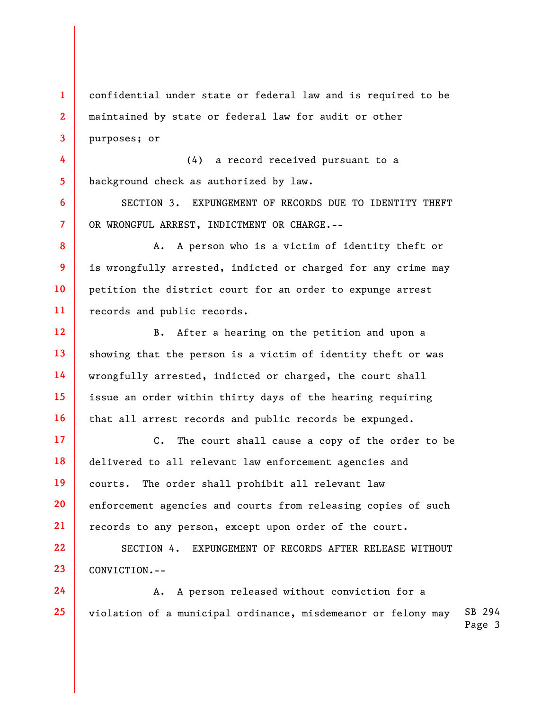**1 2 3**  confidential under state or federal law and is required to be maintained by state or federal law for audit or other purposes; or

**4 5**  (4) a record received pursuant to a background check as authorized by law.

**6** 

**7** 

**8** 

**9** 

**10** 

**11** 

**12** 

**13** 

**14** 

**15** 

**16** 

**22** 

**23** 

SECTION 3. EXPUNGEMENT OF RECORDS DUE TO IDENTITY THEFT OR WRONGFUL ARREST, INDICTMENT OR CHARGE.--

A. A person who is a victim of identity theft or is wrongfully arrested, indicted or charged for any crime may petition the district court for an order to expunge arrest records and public records.

B. After a hearing on the petition and upon a showing that the person is a victim of identity theft or was wrongfully arrested, indicted or charged, the court shall issue an order within thirty days of the hearing requiring that all arrest records and public records be expunged.

**17 18 19 20 21**  C. The court shall cause a copy of the order to be delivered to all relevant law enforcement agencies and courts. The order shall prohibit all relevant law enforcement agencies and courts from releasing copies of such records to any person, except upon order of the court.

SECTION 4. EXPUNGEMENT OF RECORDS AFTER RELEASE WITHOUT CONVICTION.--

SB 294 Page 3 **24 25**  A. A person released without conviction for a violation of a municipal ordinance, misdemeanor or felony may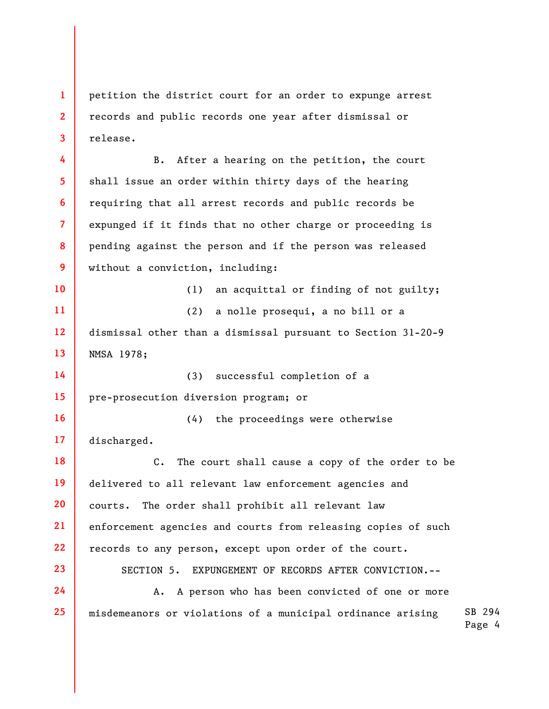**1 2 3**  petition the district court for an order to expunge arrest records and public records one year after dismissal or release.

**4 5 6 7 8 9**  B. After a hearing on the petition, the court shall issue an order within thirty days of the hearing requiring that all arrest records and public records be expunged if it finds that no other charge or proceeding is pending against the person and if the person was released without a conviction, including:

**10 11 12 13**  (1) an acquittal or finding of not guilty; (2) a nolle prosequi, a no bill or a dismissal other than a dismissal pursuant to Section 31-20-9 NMSA 1978;

**14 15**  (3) successful completion of a pre-prosecution diversion program; or

**23** 

**24** 

**25** 

**16 17**  (4) the proceedings were otherwise discharged.

**18 19 20 21 22**  C. The court shall cause a copy of the order to be delivered to all relevant law enforcement agencies and courts. The order shall prohibit all relevant law enforcement agencies and courts from releasing copies of such records to any person, except upon order of the court.

SECTION 5. EXPUNGEMENT OF RECORDS AFTER CONVICTION.--

SB 294 A. A person who has been convicted of one or more misdemeanors or violations of a municipal ordinance arising

Page 4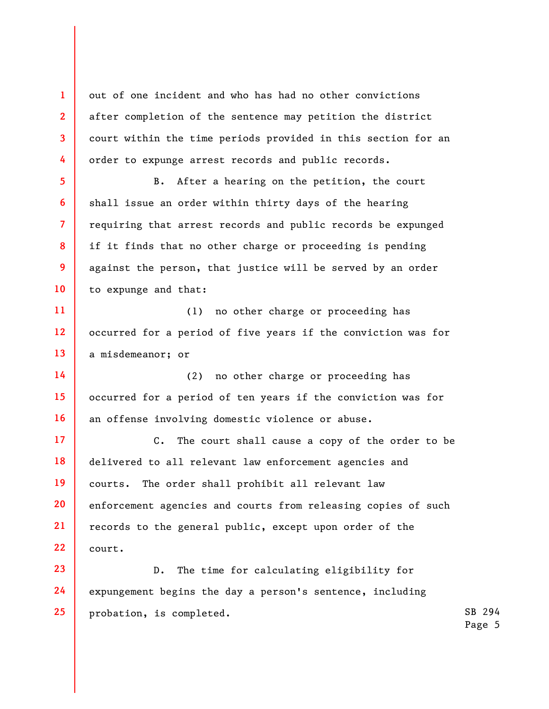out of one incident and who has had no other convictions after completion of the sentence may petition the district court within the time periods provided in this section for an order to expunge arrest records and public records.

**1** 

**2** 

**3** 

**4** 

**5** 

**6** 

**7** 

**8** 

**9** 

**10** 

B. After a hearing on the petition, the court shall issue an order within thirty days of the hearing requiring that arrest records and public records be expunged if it finds that no other charge or proceeding is pending against the person, that justice will be served by an order to expunge and that:

**11 12 13**  (1) no other charge or proceeding has occurred for a period of five years if the conviction was for a misdemeanor; or

**14 15 16**  (2) no other charge or proceeding has occurred for a period of ten years if the conviction was for an offense involving domestic violence or abuse.

**17 18 19 20 21 22**  C. The court shall cause a copy of the order to be delivered to all relevant law enforcement agencies and courts. The order shall prohibit all relevant law enforcement agencies and courts from releasing copies of such records to the general public, except upon order of the court.

**23 24 25**  D. The time for calculating eligibility for expungement begins the day a person's sentence, including probation, is completed.

SB 294 Page 5